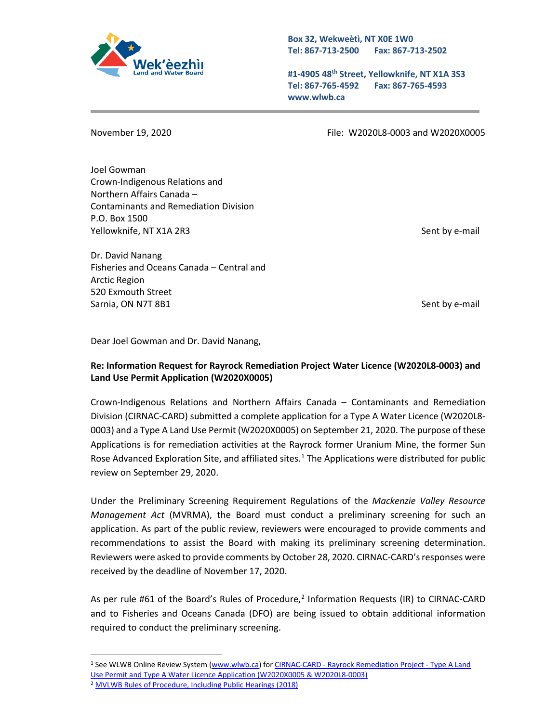

**Box 32, Wekweètì, NT X0E 1W0 Tel: 867-713-2500 Fax: 867-713-2502** 

**#1-4905 48th Street, Yellowknife, NT X1A 3S3 Tel: 867-765-4592 Fax: 867-765-4593 www.wlwb.ca**

November 19, 2020 File: W2020L8-0003 and W2020X0005

Joel Gowman Crown-Indigenous Relations and Northern Affairs Canada – Contaminants and Remediation Division P.O. Box 1500 Yellowknife, NT X1A 2R3 Sent by e-mail and the sent by e-mail by e-mail by e-mail by e-mail

Dr. David Nanang Fisheries and Oceans Canada – Central and Arctic Region 520 Exmouth Street Sarnia, ON N7T 8B1 Sent by e-mail

Dear Joel Gowman and Dr. David Nanang,

## **Re: Information Request for Rayrock Remediation Project Water Licence (W2020L8-0003) and Land Use Permit Application (W2020X0005)**

Crown-Indigenous Relations and Northern Affairs Canada – Contaminants and Remediation Division (CIRNAC-CARD) submitted a complete application for a Type A Water Licence (W2020L8- 0003) and a Type A Land Use Permit (W2020X0005) on September 21, 2020. The purpose of these Applications is for remediation activities at the Rayrock former Uranium Mine, the former Sun Rose Advanced Exploration Site, and affiliated sites. $1$  The Applications were distributed for public review on September 29, 2020.

Under the Preliminary Screening Requirement Regulations of the *Mackenzie Valley Resource Management Act* (MVRMA), the Board must conduct a preliminary screening for such an application. As part of the public review, reviewers were encouraged to provide comments and recommendations to assist the Board with making its preliminary screening determination. Reviewers were asked to provide comments by October 28, 2020. CIRNAC-CARD's responses were received by the deadline of November 17, 2020.

As per rule #61 of the Board's Rules of Procedure, $<sup>2</sup>$  $<sup>2</sup>$  $<sup>2</sup>$  Information Requests (IR) to CIRNAC-CARD</sup> and to Fisheries and Oceans Canada (DFO) are being issued to obtain additional information required to conduct the preliminary screening.

<span id="page-0-1"></span><span id="page-0-0"></span><sup>1</sup> See WLWB Online Review System [\(www.wlwb.ca\)](http://www.wlwb.ca/) for CIRNAC-CARD - [Rayrock Remediation Project -](http://lwbors.yk.com/LWB_IMS/ReviewComment.aspx?appid=13077) Type A Land [Use Permit and Type A Water Licence Application \(W2020X0005 & W2020L8-0003\)](http://lwbors.yk.com/LWB_IMS/ReviewComment.aspx?appid=13077) <sup>2</sup> [MVLWB Rules of Procedure, Including Public Hearings \(2018\)](https://mvlwb.com/sites/default/files/lwb_rules_of_procedure_-_dec_17_18.pdf)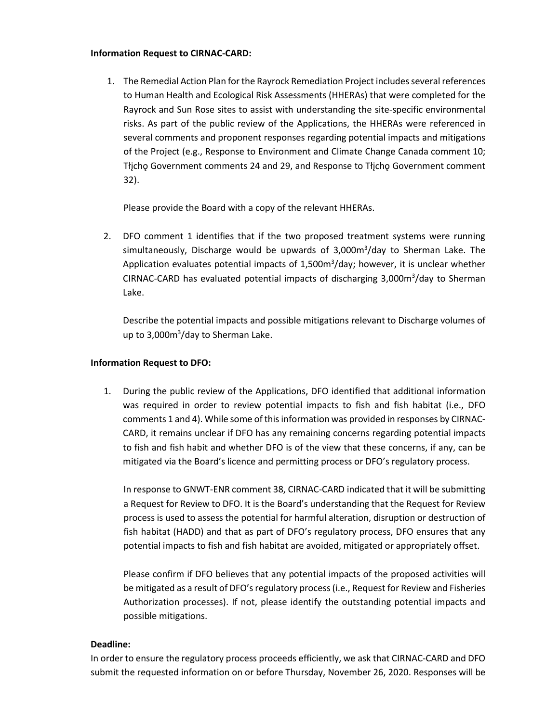## **Information Request to CIRNAC-CARD:**

1. The Remedial Action Plan for the Rayrock Remediation Project includes several references to Human Health and Ecological Risk Assessments (HHERAs) that were completed for the Rayrock and Sun Rose sites to assist with understanding the site-specific environmental risks. As part of the public review of the Applications, the HHERAs were referenced in several comments and proponent responses regarding potential impacts and mitigations of the Project (e.g., Response to Environment and Climate Change Canada comment 10; Tłįchǫ Government comments 24 and 29, and Response to Tłįchǫ Government comment 32).

Please provide the Board with a copy of the relevant HHERAs.

2. DFO comment 1 identifies that if the two proposed treatment systems were running simultaneously, Discharge would be upwards of 3,000m<sup>3</sup>/day to Sherman Lake. The Application evaluates potential impacts of  $1,500m^3$ /day; however, it is unclear whether CIRNAC-CARD has evaluated potential impacts of discharging  $3,000m^3$ /day to Sherman Lake.

Describe the potential impacts and possible mitigations relevant to Discharge volumes of up to 3,000m<sup>3</sup>/day to Sherman Lake.

## **Information Request to DFO:**

1. During the public review of the Applications, DFO identified that additional information was required in order to review potential impacts to fish and fish habitat (i.e., DFO comments 1 and 4). While some of this information was provided in responses by CIRNAC-CARD, it remains unclear if DFO has any remaining concerns regarding potential impacts to fish and fish habit and whether DFO is of the view that these concerns, if any, can be mitigated via the Board's licence and permitting process or DFO's regulatory process.

In response to GNWT-ENR comment 38, CIRNAC-CARD indicated that it will be submitting a Request for Review to DFO. It is the Board's understanding that the Request for Review process is used to assess the potential for harmful alteration, disruption or destruction of fish habitat (HADD) and that as part of DFO's regulatory process, DFO ensures that any potential impacts to fish and fish habitat are avoided, mitigated or appropriately offset.

Please confirm if DFO believes that any potential impacts of the proposed activities will be mitigated as a result of DFO's regulatory process (i.e., Request for Review and Fisheries Authorization processes). If not, please identify the outstanding potential impacts and possible mitigations.

## **Deadline:**

In order to ensure the regulatory process proceeds efficiently, we ask that CIRNAC-CARD and DFO submit the requested information on or before Thursday, November 26, 2020. Responses will be